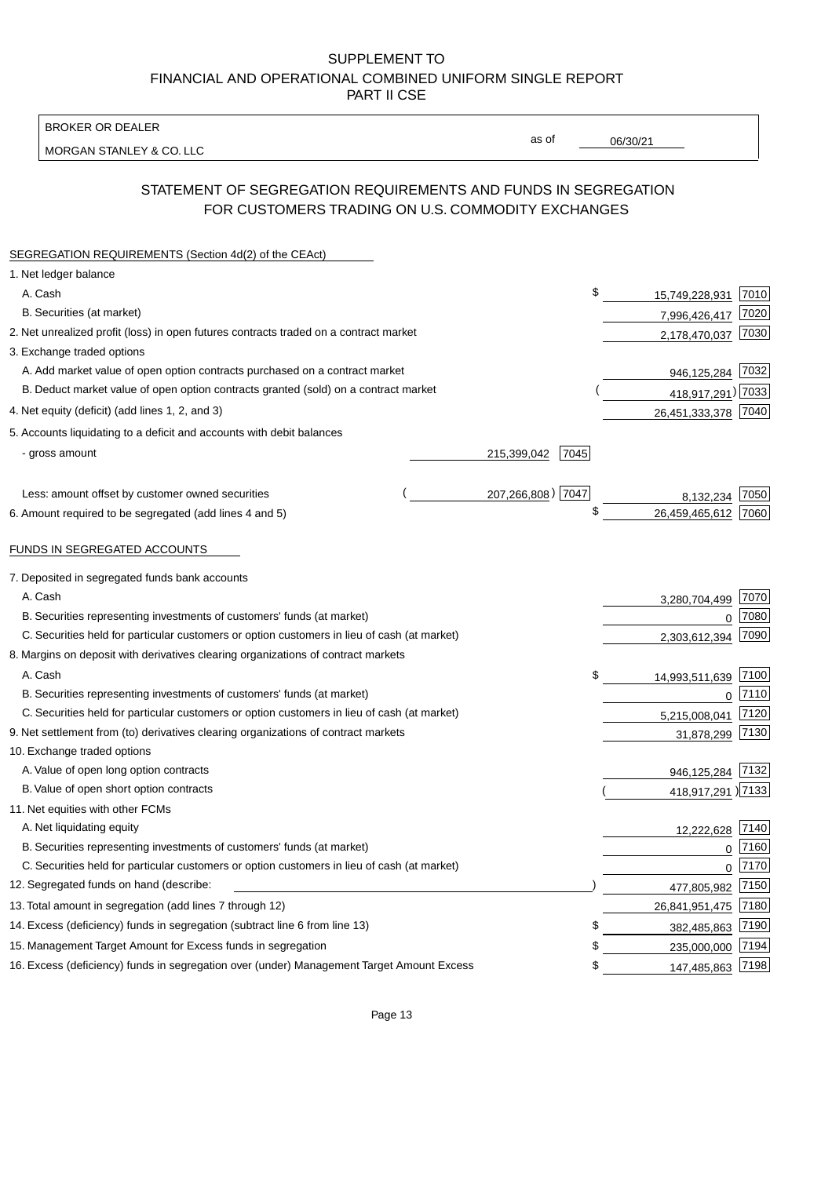BROKER OR DEALER

MORGAN STANLEY & CO. LLC

06/30/21

as of

# STATEMENT OF SEGREGATION REQUIREMENTS AND FUNDS IN SEGREGATION FOR CUSTOMERS TRADING ON U.S. COMMODITY EXCHANGES

| SEGREGATION REQUIREMENTS (Section 4d(2) of the CEAct)                                       |                     |                     |      |
|---------------------------------------------------------------------------------------------|---------------------|---------------------|------|
| 1. Net ledger balance                                                                       |                     |                     |      |
| A. Cash                                                                                     | \$                  | 15,749,228,931      | 7010 |
| B. Securities (at market)                                                                   |                     | 7,996,426,417       | 7020 |
| 2. Net unrealized profit (loss) in open futures contracts traded on a contract market       |                     | 2,178,470,037       | 7030 |
| 3. Exchange traded options                                                                  |                     |                     |      |
| A. Add market value of open option contracts purchased on a contract market                 |                     | 946,125,284 7032    |      |
| B. Deduct market value of open option contracts granted (sold) on a contract market         |                     | 418,917,291) 7033   |      |
| 4. Net equity (deficit) (add lines 1, 2, and 3)                                             |                     | 26,451,333,378 7040 |      |
| 5. Accounts liquidating to a deficit and accounts with debit balances                       |                     |                     |      |
| - gross amount                                                                              | 215,399,042<br>7045 |                     |      |
|                                                                                             |                     |                     |      |
| Less: amount offset by customer owned securities                                            | 207,266,808) 7047   | 8,132,234           | 7050 |
| 6. Amount required to be segregated (add lines 4 and 5)                                     | \$                  | 26,459,465,612      | 7060 |
|                                                                                             |                     |                     |      |
| FUNDS IN SEGREGATED ACCOUNTS                                                                |                     |                     |      |
| 7. Deposited in segregated funds bank accounts                                              |                     |                     |      |
| A. Cash                                                                                     |                     | 3,280,704,499       | 7070 |
| B. Securities representing investments of customers' funds (at market)                      |                     | $\Omega$            | 7080 |
| C. Securities held for particular customers or option customers in lieu of cash (at market) |                     | 2,303,612,394       | 7090 |
| 8. Margins on deposit with derivatives clearing organizations of contract markets           |                     |                     |      |
| A. Cash                                                                                     | \$                  | 14,993,511,639      | 7100 |
| B. Securities representing investments of customers' funds (at market)                      |                     | $\mathbf 0$         | 7110 |
| C. Securities held for particular customers or option customers in lieu of cash (at market) |                     | 5,215,008,041       | 7120 |
| 9. Net settlement from (to) derivatives clearing organizations of contract markets          |                     | 31,878,299          | 7130 |
| 10. Exchange traded options                                                                 |                     |                     |      |
| A. Value of open long option contracts                                                      |                     | 946,125,284         | 7132 |
| B. Value of open short option contracts                                                     |                     | 418,917,291 )7133   |      |
| 11. Net equities with other FCMs                                                            |                     |                     |      |
| A. Net liquidating equity                                                                   |                     | 12,222,628          | 7140 |
| B. Securities representing investments of customers' funds (at market)                      |                     | $\Omega$            | 7160 |
| C. Securities held for particular customers or option customers in lieu of cash (at market) |                     | $\mathbf 0$         | 7170 |
| 12. Segregated funds on hand (describe:                                                     |                     | 477,805,982         | 7150 |
| 13. Total amount in segregation (add lines 7 through 12)                                    |                     | 26,841,951,475      | 7180 |
| 14. Excess (deficiency) funds in segregation (subtract line 6 from line 13)                 | \$                  | 382,485,863         | 7190 |
| 15. Management Target Amount for Excess funds in segregation                                | \$                  | 235,000,000         | 7194 |
| 16. Excess (deficiency) funds in segregation over (under) Management Target Amount Excess   | \$                  | 147,485,863         | 7198 |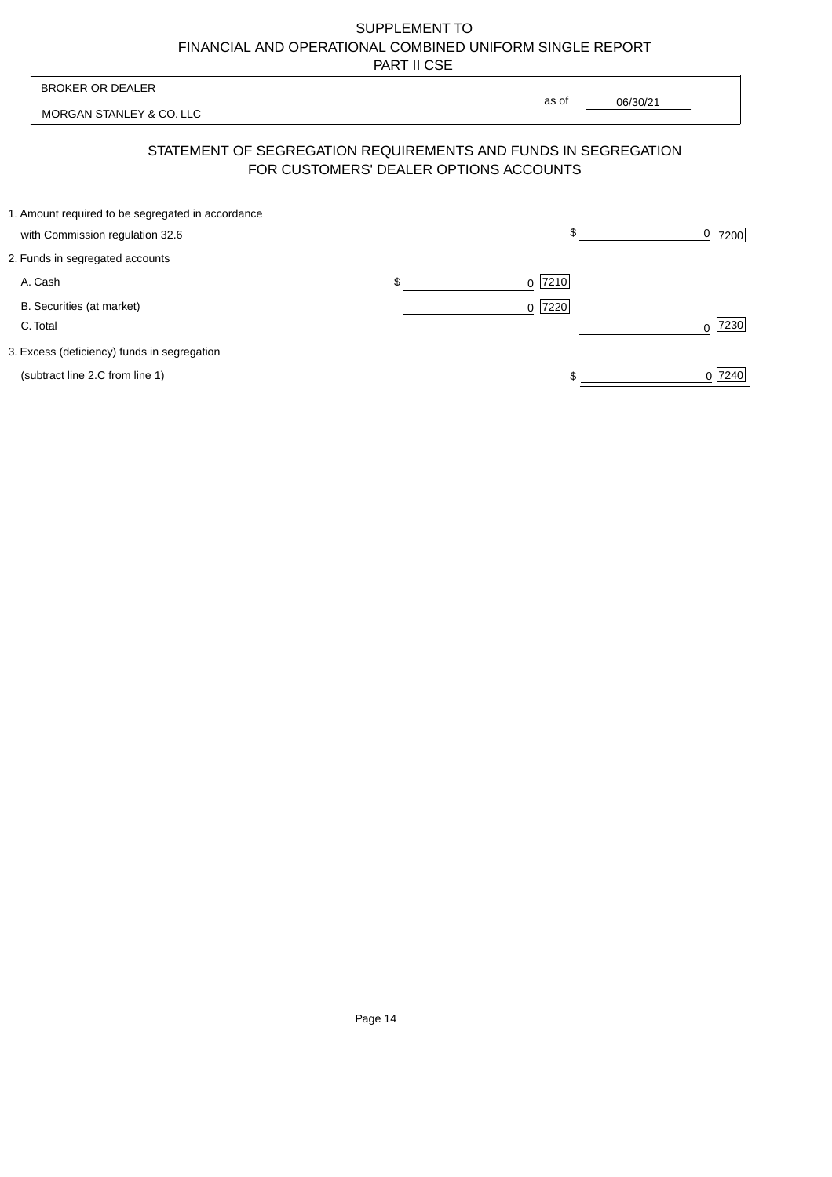| <b>BROKER OR DEALER</b>                                                              | as of                                                                                                    |           |
|--------------------------------------------------------------------------------------|----------------------------------------------------------------------------------------------------------|-----------|
| MORGAN STANLEY & CO. LLC                                                             | 06/30/21                                                                                                 |           |
|                                                                                      | STATEMENT OF SEGREGATION REQUIREMENTS AND FUNDS IN SEGREGATION<br>FOR CUSTOMERS' DEALER OPTIONS ACCOUNTS |           |
| 1. Amount required to be segregated in accordance<br>with Commission regulation 32.6 | \$                                                                                                       | 7200      |
| 2. Funds in segregated accounts                                                      |                                                                                                          |           |
| A. Cash                                                                              | \$<br>7210<br>0                                                                                          |           |
| B. Securities (at market)<br>C. Total                                                | 7220<br>$\Omega$                                                                                         | 7230<br>U |
| 3. Excess (deficiency) funds in segregation                                          |                                                                                                          |           |
| (subtract line 2.C from line 1)                                                      |                                                                                                          | 0 7240    |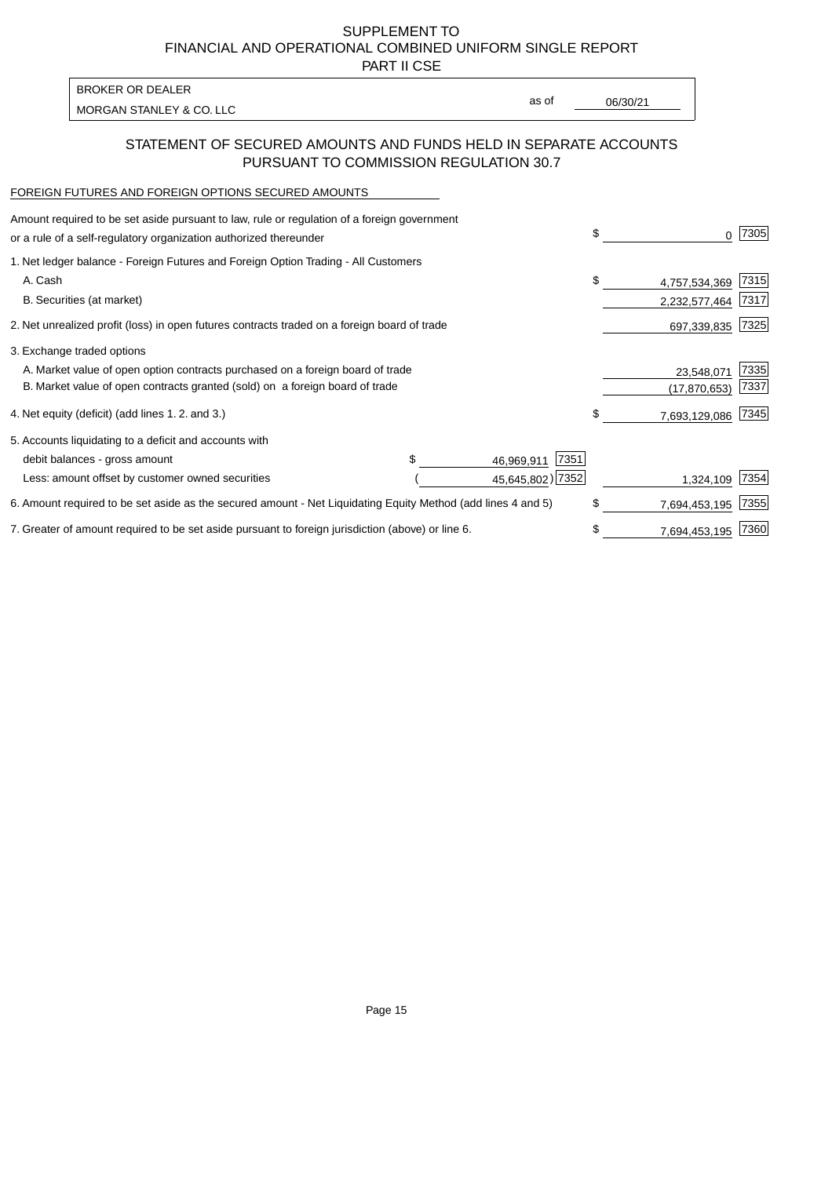PART II CSE

| <b>BROKER OR DEALER</b>  |       |          |
|--------------------------|-------|----------|
|                          | as of | 06/30/21 |
| MORGAN STANLEY & CO. LLC |       |          |

## STATEMENT OF SECURED AMOUNTS AND FUNDS HELD IN SEPARATE ACCOUNTS PURSUANT TO COMMISSION REGULATION 30.7

### FOREIGN FUTURES AND FOREIGN OPTIONS SECURED AMOUNTS

| Amount required to be set aside pursuant to law, rule or regulation of a foreign government<br>or a rule of a self-regulatory organization authorized thereunder | \$<br>0             | 7305 |
|------------------------------------------------------------------------------------------------------------------------------------------------------------------|---------------------|------|
| 1. Net ledger balance - Foreign Futures and Foreign Option Trading - All Customers                                                                               |                     |      |
| A. Cash                                                                                                                                                          | \$<br>4,757,534,369 | 7315 |
| B. Securities (at market)                                                                                                                                        | 2,232,577,464       | 7317 |
| 2. Net unrealized profit (loss) in open futures contracts traded on a foreign board of trade                                                                     | 697,339,835         | 7325 |
| 3. Exchange traded options                                                                                                                                       |                     |      |
| A. Market value of open option contracts purchased on a foreign board of trade                                                                                   | 23,548,071          | 7335 |
| B. Market value of open contracts granted (sold) on a foreign board of trade                                                                                     | (17, 870, 653)      | 7337 |
| 4. Net equity (deficit) (add lines 1. 2. and 3.)                                                                                                                 | \$<br>7,693,129,086 | 7345 |
| 5. Accounts liquidating to a deficit and accounts with                                                                                                           |                     |      |
| 7351<br>debit balances - gross amount<br>46,969,911                                                                                                              |                     |      |
| 45,645,802) 7352<br>Less: amount offset by customer owned securities                                                                                             | 1,324,109           | 7354 |
| 6. Amount required to be set aside as the secured amount - Net Liquidating Equity Method (add lines 4 and 5)                                                     | \$<br>7,694,453,195 | 7355 |
| 7. Greater of amount required to be set aside pursuant to foreign jurisdiction (above) or line 6.                                                                | \$<br>7,694,453,195 | 7360 |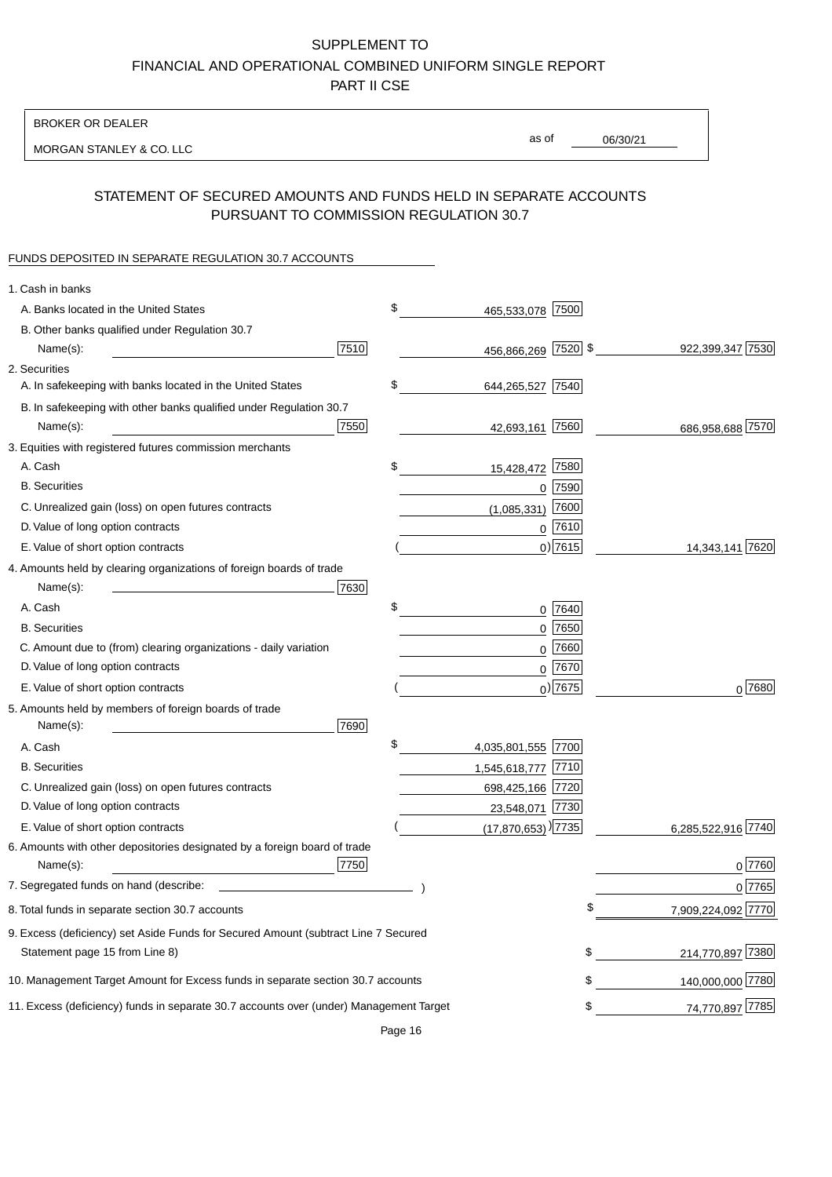BROKER OR DEALER

MORGAN STANLEY & CO. LLC

06/30/21 as of

# STATEMENT OF SECURED AMOUNTS AND FUNDS HELD IN SEPARATE ACCOUNTS PURSUANT TO COMMISSION REGULATION 30.7

## FUNDS DEPOSITED IN SEPARATE REGULATION 30.7 ACCOUNTS

| 1. Cash in banks                                                                       |      |                                    |             |                    |
|----------------------------------------------------------------------------------------|------|------------------------------------|-------------|--------------------|
| A. Banks located in the United States                                                  |      | \$<br>465,533,078 7500             |             |                    |
| B. Other banks qualified under Regulation 30.7                                         |      |                                    |             |                    |
| Name(s):                                                                               | 7510 | 456,866,269 7520 \$                |             | 922,399,347 7530   |
| 2. Securities                                                                          |      |                                    |             |                    |
| A. In safekeeping with banks located in the United States                              |      | \$<br>644,265,527 7540             |             |                    |
| B. In safekeeping with other banks qualified under Regulation 30.7                     |      |                                    |             |                    |
| Name(s):                                                                               | 7550 | 42,693,161 7560                    |             | 686,958,688 7570   |
| 3. Equities with registered futures commission merchants                               |      |                                    |             |                    |
| A. Cash                                                                                |      | \$<br>15,428,472                   | 7580        |                    |
| <b>B.</b> Securities                                                                   |      |                                    | $0$ 7590    |                    |
| C. Unrealized gain (loss) on open futures contracts                                    |      | (1,085,331)                        | 7600        |                    |
| D. Value of long option contracts                                                      |      |                                    | $0^{7610}$  |                    |
| E. Value of short option contracts                                                     |      |                                    | $0)$ 7615   | 14,343,141 7620    |
| 4. Amounts held by clearing organizations of foreign boards of trade                   |      |                                    |             |                    |
| Name(s):                                                                               | 7630 |                                    |             |                    |
| A. Cash                                                                                |      | \$                                 | 0 7640      |                    |
| <b>B.</b> Securities                                                                   |      |                                    | $0$ 7650    |                    |
| C. Amount due to (from) clearing organizations - daily variation                       |      | 0                                  | 7660        |                    |
| D. Value of long option contracts                                                      |      |                                    | 0 7670      |                    |
| E. Value of short option contracts                                                     |      |                                    | $_0$ ) 7675 | 0 7680             |
| 5. Amounts held by members of foreign boards of trade                                  |      |                                    |             |                    |
| Name(s):                                                                               | 7690 |                                    |             |                    |
| A. Cash                                                                                |      | \$<br>4,035,801,555 7700           |             |                    |
| <b>B.</b> Securities                                                                   |      | 1,545,618,777 7710                 |             |                    |
| C. Unrealized gain (loss) on open futures contracts                                    |      | 698,425,166 7720                   |             |                    |
| D. Value of long option contracts                                                      |      | 23,548,071 7730                    |             |                    |
| E. Value of short option contracts                                                     |      | $(17,870,653)$ <sup>)</sup> $7735$ |             | 6,285,522,916 7740 |
| 6. Amounts with other depositories designated by a foreign board of trade              |      |                                    |             |                    |
| Name(s):                                                                               | 7750 |                                    |             | 0 7760             |
| 7. Segregated funds on hand (describe:                                                 |      |                                    |             | 0 7765             |
| 8. Total funds in separate section 30.7 accounts                                       |      |                                    |             | 7,909,224,092 7770 |
| 9. Excess (deficiency) set Aside Funds for Secured Amount (subtract Line 7 Secured     |      |                                    |             |                    |
| Statement page 15 from Line 8)                                                         |      |                                    | \$          | 214,770,897 7380   |
| 10. Management Target Amount for Excess funds in separate section 30.7 accounts        |      |                                    | \$          | 140,000,000 7780   |
| 11. Excess (deficiency) funds in separate 30.7 accounts over (under) Management Target |      |                                    | \$          | 74,770,897 7785    |
|                                                                                        |      |                                    |             |                    |